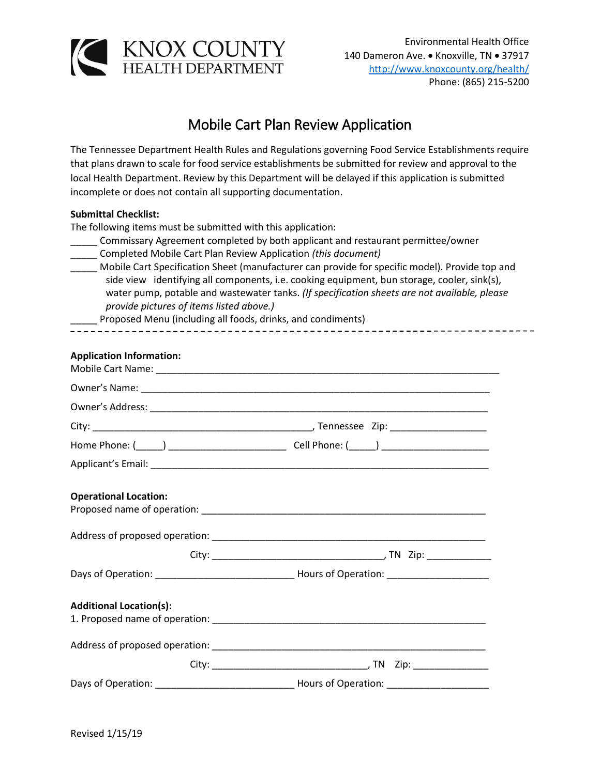

## Mobile Cart Plan Review Application

The Tennessee Department Health Rules and Regulations governing Food Service Establishments require that plans drawn to scale for food service establishments be submitted for review and approval to the local Health Department. Review by this Department will be delayed if this application is submitted incomplete or does not contain all supporting documentation.

## **Submittal Checklist:**

The following items must be submitted with this application:

| Commissary Agreement completed by both applicant and restaurant permittee/owner |
|---------------------------------------------------------------------------------|
| Completed Mobile Cart Plan Review Application (this document)                   |

\_\_\_\_\_ Mobile Cart Specification Sheet (manufacturer can provide for specific model). Provide top and side view identifying all components, i.e. cooking equipment, bun storage, cooler, sink(s), water pump, potable and wastewater tanks. *(If specification sheets are not available, please provide pictures of items listed above.)*

\_\_\_\_\_ Proposed Menu (including all foods, drinks, and condiments)

## **Application Information:**

| <b>Operational Location:</b>   |  |
|--------------------------------|--|
|                                |  |
|                                |  |
|                                |  |
| <b>Additional Location(s):</b> |  |
|                                |  |
|                                |  |
|                                |  |